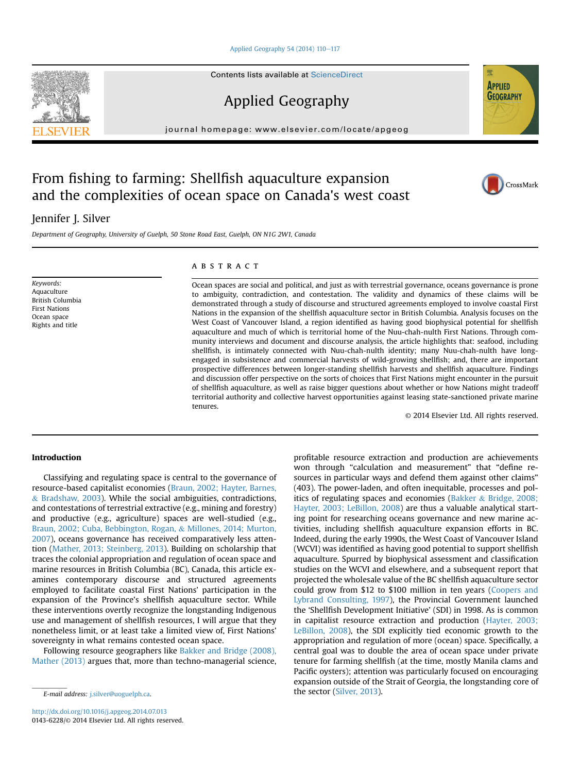Applied Geography 54 (2014)  $110-117$  $110-117$ 

Contents lists available at ScienceDirect

Applied Geography

journal homepage: [www.elsevier.com/locate/apgeog](http://www.elsevier.com/locate/apgeog)

# From fishing to farming: Shellfish aquaculture expansion and the complexities of ocean space on Canada's west coast

# Jennifer J. Silver

Department of Geography, University of Guelph, 50 Stone Road East, Guelph, ON N1G 2W1, Canada

Keywords: Aquaculture British Columbia First Nations Ocean space Rights and title

#### **ABSTRACT**

Ocean spaces are social and political, and just as with terrestrial governance, oceans governance is prone to ambiguity, contradiction, and contestation. The validity and dynamics of these claims will be demonstrated through a study of discourse and structured agreements employed to involve coastal First Nations in the expansion of the shellfish aquaculture sector in British Columbia. Analysis focuses on the West Coast of Vancouver Island, a region identified as having good biophysical potential for shellfish aquaculture and much of which is territorial home of the Nuu-chah-nulth First Nations. Through community interviews and document and discourse analysis, the article highlights that: seafood, including shellfish, is intimately connected with Nuu-chah-nulth identity; many Nuu-chah-nulth have longengaged in subsistence and commercial harvests of wild-growing shellfish; and, there are important prospective differences between longer-standing shellfish harvests and shellfish aquaculture. Findings and discussion offer perspective on the sorts of choices that First Nations might encounter in the pursuit of shellfish aquaculture, as well as raise bigger questions about whether or how Nations might tradeoff territorial authority and collective harvest opportunities against leasing state-sanctioned private marine tenures.

© 2014 Elsevier Ltd. All rights reserved.

# Introduction

Classifying and regulating space is central to the governance of resource-based capitalist economies ([Braun, 2002; Hayter, Barnes,](#page-6-0) & [Bradshaw, 2003\)](#page-6-0). While the social ambiguities, contradictions, and contestations of terrestrial extractive (e.g., mining and forestry) and productive (e.g., agriculture) spaces are well-studied (e.g., [Braun, 2002; Cuba, Bebbington, Rogan,](#page-6-0) & [Millones, 2014; Murton,](#page-6-0) [2007\)](#page-6-0), oceans governance has received comparatively less attention ([Mather, 2013; Steinberg, 2013](#page-7-0)). Building on scholarship that traces the colonial appropriation and regulation of ocean space and marine resources in British Columbia (BC), Canada, this article examines contemporary discourse and structured agreements employed to facilitate coastal First Nations' participation in the expansion of the Province's shellfish aquaculture sector. While these interventions overtly recognize the longstanding Indigenous use and management of shellfish resources, I will argue that they nonetheless limit, or at least take a limited view of, First Nations' sovereignty in what remains contested ocean space.

Following resource geographers like [Bakker and Bridge \(2008\),](#page-6-0) [Mather \(2013\)](#page-6-0) argues that, more than techno-managerial science,

profitable resource extraction and production are achievements won through "calculation and measurement" that "define resources in particular ways and defend them against other claims" (403). The power-laden, and often inequitable, processes and politics of regulating spaces and economies [\(Bakker](#page-6-0) & [Bridge, 2008;](#page-6-0) [Hayter, 2003; LeBillon, 2008](#page-6-0)) are thus a valuable analytical starting point for researching oceans governance and new marine activities, including shellfish aquaculture expansion efforts in BC. Indeed, during the early 1990s, the West Coast of Vancouver Island (WCVI) was identified as having good potential to support shellfish aquaculture. Spurred by biophysical assessment and classification studies on the WCVI and elsewhere, and a subsequent report that projected the wholesale value of the BC shellfish aquaculture sector could grow from \$12 to \$100 million in ten years ([Coopers and](#page-6-0) [Lybrand Consulting, 1997](#page-6-0)), the Provincial Government launched the 'Shellfish Development Initiative' (SDI) in 1998. As is common in capitalist resource extraction and production [\(Hayter, 2003;](#page-7-0) [LeBillon, 2008](#page-7-0)), the SDI explicitly tied economic growth to the appropriation and regulation of more (ocean) space. Specifically, a central goal was to double the area of ocean space under private tenure for farming shellfish (at the time, mostly Manila clams and Pacific oysters); attention was particularly focused on encouraging expansion outside of the Strait of Georgia, the longstanding core of the sector ([Silver, 2013](#page-7-0)). E-mail address: [j.silver@uoguelph.ca.](mailto:j.silver@uoguelph.ca)





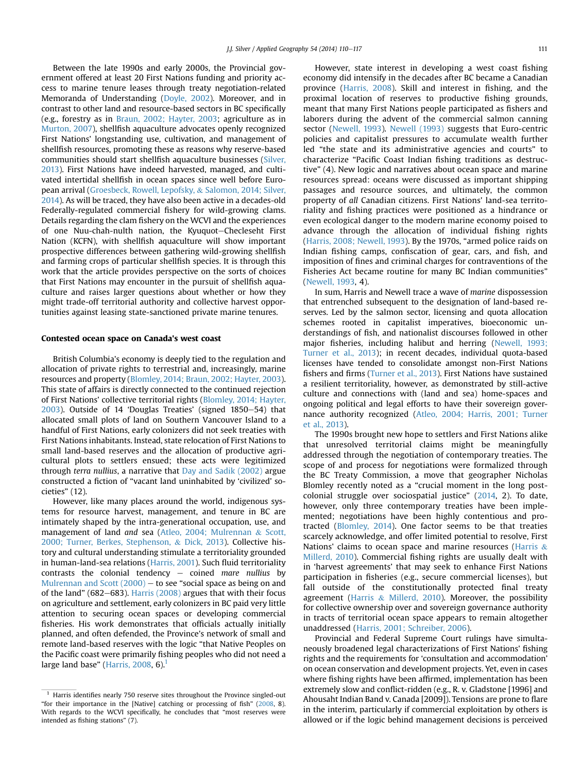Between the late 1990s and early 2000s, the Provincial government offered at least 20 First Nations funding and priority access to marine tenure leases through treaty negotiation-related Memoranda of Understanding [\(Doyle, 2002](#page-7-0)). Moreover, and in contrast to other land and resource-based sectors in BC specifically (e.g., forestry as in [Braun, 2002; Hayter, 2003](#page-6-0); agriculture as in [Murton, 2007\)](#page-7-0), shellfish aquaculture advocates openly recognized First Nations' longstanding use, cultivation, and management of shellfish resources, promoting these as reasons why reserve-based communities should start shellfish aquaculture businesses [\(Silver,](#page-7-0) [2013\)](#page-7-0). First Nations have indeed harvested, managed, and cultivated intertidal shellfish in ocean spaces since well before European arrival ([Groesbeck, Rowell, Lepofsky,](#page-7-0) & [Salomon, 2014; Silver,](#page-7-0) [2014\)](#page-7-0). As will be traced, they have also been active in a decades-old Federally-regulated commercial fishery for wild-growing clams. Details regarding the clam fishery on the WCVI and the experiences of one Nuu-chah-nulth nation, the Kyuquot-Checleseht First Nation (KCFN), with shellfish aquaculture will show important prospective differences between gathering wild-growing shellfish and farming crops of particular shellfish species. It is through this work that the article provides perspective on the sorts of choices that First Nations may encounter in the pursuit of shellfish aquaculture and raises larger questions about whether or how they might trade-off territorial authority and collective harvest opportunities against leasing state-sanctioned private marine tenures.

#### Contested ocean space on Canada's west coast

British Columbia's economy is deeply tied to the regulation and allocation of private rights to terrestrial and, increasingly, marine resources and property ([Blomley, 2014; Braun, 2002; Hayter, 2003\)](#page-6-0). This state of affairs is directly connected to the continued rejection of First Nations' collective territorial rights ([Blomley, 2014; Hayter,](#page-6-0)  $2003$ ). Outside of 14 'Douglas Treaties' (signed  $1850-54$ ) that allocated small plots of land on Southern Vancouver Island to a handful of First Nations, early colonizers did not seek treaties with First Nations inhabitants. Instead, state relocation of First Nations to small land-based reserves and the allocation of productive agricultural plots to settlers ensued; these acts were legitimized through terra nullius, a narrative that [Day and Sadik \(2002\)](#page-7-0) argue constructed a fiction of "vacant land uninhabited by 'civilized' societies" (12).

However, like many places around the world, indigenous systems for resource harvest, management, and tenure in BC are intimately shaped by the intra-generational occupation, use, and management of land and sea ([Atleo, 2004; Mulrennan](#page-6-0) & [Scott,](#page-6-0) [2000; Turner, Berkes, Stephenson,](#page-6-0) & [Dick, 2013](#page-6-0)). Collective history and cultural understanding stimulate a territoriality grounded in human-land-sea relations [\(Harris, 2001\)](#page-7-0). Such fluid territoriality contrasts the colonial tendency  $-$  coined mare nullius by Mulrennan and Scott  $(2000)$  – to see "social space as being on and of the land" (682–683). Harris  $(2008)$  argues that with their focus on agriculture and settlement, early colonizers in BC paid very little attention to securing ocean spaces or developing commercial fisheries. His work demonstrates that officials actually initially planned, and often defended, the Province's network of small and remote land-based reserves with the logic "that Native Peoples on the Pacific coast were primarily fishing peoples who did not need a large land base" ([Harris, 2008](#page-7-0), 6). $<sup>1</sup>$ </sup>

However, state interest in developing a west coast fishing economy did intensify in the decades after BC became a Canadian province ([Harris, 2008](#page-7-0)). Skill and interest in fishing, and the proximal location of reserves to productive fishing grounds, meant that many First Nations people participated as fishers and laborers during the advent of the commercial salmon canning sector [\(Newell, 1993\)](#page-7-0). [Newell \(1993\)](#page-7-0) suggests that Euro-centric policies and capitalist pressures to accumulate wealth further led "the state and its administrative agencies and courts" to characterize "Pacific Coast Indian fishing traditions as destructive" (4). New logic and narratives about ocean space and marine resources spread: oceans were discussed as important shipping passages and resource sources, and ultimately, the common property of all Canadian citizens. First Nations' land-sea territoriality and fishing practices were positioned as a hindrance or even ecological danger to the modern marine economy poised to advance through the allocation of individual fishing rights ([Harris, 2008; Newell, 1993](#page-7-0)). By the 1970s, "armed police raids on Indian fishing camps, confiscation of gear, cars, and fish, and imposition of fines and criminal charges for contraventions of the Fisheries Act became routine for many BC Indian communities" ([Newell, 1993](#page-7-0), 4).

In sum, Harris and Newell trace a wave of marine dispossession that entrenched subsequent to the designation of land-based reserves. Led by the salmon sector, licensing and quota allocation schemes rooted in capitalist imperatives, bioeconomic understandings of fish, and nationalist discourses followed in other major fisheries, including halibut and herring [\(Newell, 1993;](#page-7-0) [Turner et al., 2013](#page-7-0)); in recent decades, individual quota-based licenses have tended to consolidate amongst non-First Nations fishers and firms [\(Turner et al., 2013\)](#page-7-0). First Nations have sustained a resilient territoriality, however, as demonstrated by still-active culture and connections with (land and sea) home-spaces and ongoing political and legal efforts to have their sovereign governance authority recognized ([Atleo, 2004; Harris, 2001; Turner](#page-6-0) [et al., 2013](#page-6-0)).

The 1990s brought new hope to settlers and First Nations alike that unresolved territorial claims might be meaningfully addressed through the negotiation of contemporary treaties. The scope of and process for negotiations were formalized through the BC Treaty Commission, a move that geographer Nicholas Blomley recently noted as a "crucial moment in the long postcolonial struggle over sociospatial justice" ([2014,](#page-6-0) 2). To date, however, only three contemporary treaties have been implemented; negotiations have been highly contentious and protracted [\(Blomley, 2014](#page-6-0)). One factor seems to be that treaties scarcely acknowledge, and offer limited potential to resolve, First Nations' claims to ocean space and marine resources ([Harris](#page-7-0)  $\&$ [Millerd, 2010](#page-7-0)). Commercial fishing rights are usually dealt with in 'harvest agreements' that may seek to enhance First Nations participation in fisheries (e.g., secure commercial licenses), but fall outside of the constitutionally protected final treaty agreement [\(Harris](#page-7-0)  $&$  [Millerd, 2010\)](#page-7-0). Moreover, the possibility for collective ownership over and sovereign governance authority in tracts of territorial ocean space appears to remain altogether unaddressed [\(Harris, 2001; Schreiber, 2006](#page-7-0)).

Provincial and Federal Supreme Court rulings have simultaneously broadened legal characterizations of First Nations' fishing rights and the requirements for 'consultation and accommodation' on ocean conservation and development projects. Yet, even in cases where fishing rights have been affirmed, implementation has been extremely slow and conflict-ridden (e.g., R. v. Gladstone [1996] and Ahousaht Indian Band v. Canada [2009]). Tensions are prone to flare in the interim, particularly if commercial exploitation by others is allowed or if the logic behind management decisions is perceived

 $1$  Harris identifies nearly 750 reserve sites throughout the Province singled-out "for their importance in the [Native] catching or processing of fish" ([2008](#page-7-0), 8). With regards to the WCVI specifically, he concludes that "most reserves were intended as fishing stations" (7).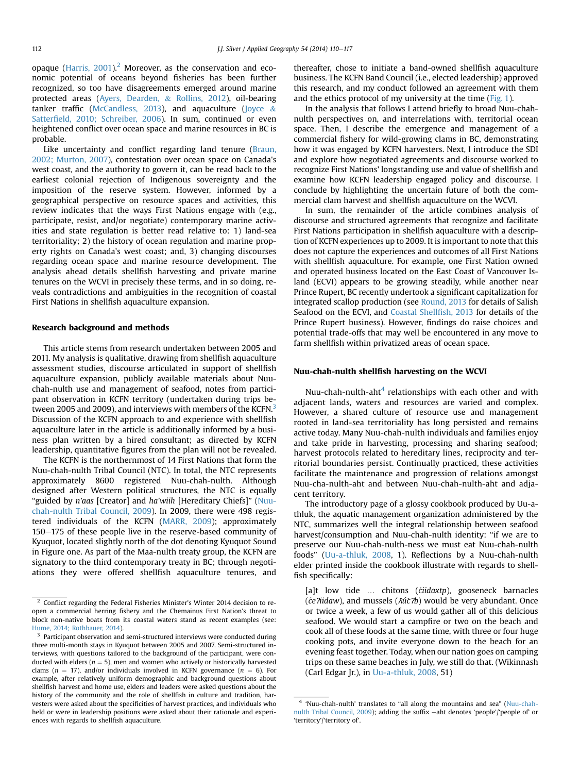opaque (Harris,  $2001$ ).<sup>2</sup> Moreover, as the conservation and economic potential of oceans beyond fisheries has been further recognized, so too have disagreements emerged around marine protected areas [\(Ayers, Dearden,](#page-6-0) & [Rollins, 2012](#page-6-0)), oil-bearing tanker traffic [\(McCandless, 2013\)](#page-7-0), and aquaculture ([Joyce](#page-7-0) & Satterfi[eld, 2010; Schreiber, 2006](#page-7-0)). In sum, continued or even heightened conflict over ocean space and marine resources in BC is probable.

Like uncertainty and conflict regarding land tenure ([Braun,](#page-6-0) [2002; Murton, 2007\)](#page-6-0), contestation over ocean space on Canada's west coast, and the authority to govern it, can be read back to the earliest colonial rejection of Indigenous sovereignty and the imposition of the reserve system. However, informed by a geographical perspective on resource spaces and activities, this review indicates that the ways First Nations engage with (e.g., participate, resist, and/or negotiate) contemporary marine activities and state regulation is better read relative to: 1) land-sea territoriality; 2) the history of ocean regulation and marine property rights on Canada's west coast; and, 3) changing discourses regarding ocean space and marine resource development. The analysis ahead details shellfish harvesting and private marine tenures on the WCVI in precisely these terms, and in so doing, reveals contradictions and ambiguities in the recognition of coastal First Nations in shellfish aquaculture expansion.

# Research background and methods

This article stems from research undertaken between 2005 and 2011. My analysis is qualitative, drawing from shellfish aquaculture assessment studies, discourse articulated in support of shellfish aquaculture expansion, publicly available materials about Nuuchah-nulth use and management of seafood, notes from participant observation in KCFN territory (undertaken during trips between 2005 and 2009), and interviews with members of the KCFN.<sup>3</sup> Discussion of the KCFN approach to and experience with shellfish aquaculture later in the article is additionally informed by a business plan written by a hired consultant; as directed by KCFN leadership, quantitative figures from the plan will not be revealed.

The KCFN is the northernmost of 14 First Nations that form the Nuu-chah-nulth Tribal Council (NTC). In total, the NTC represents approximately 8600 registered Nuu-chah-nulth. Although designed after Western political structures, the NTC is equally "guided by n'aas [Creator] and ha'wiih [Hereditary Chiefs]" ([Nuu](#page-7-0)[chah-nulth Tribal Council, 2009\)](#page-7-0). In 2009, there were 498 registered individuals of the KCFN ([MARR, 2009](#page-7-0)); approximately 150-175 of these people live in the reserve-based community of Kyuquot, located slightly north of the dot denoting Kyuquot Sound in Figure one. As part of the Maa-nulth treaty group, the KCFN are signatory to the third contemporary treaty in BC; through negotiations they were offered shellfish aquaculture tenures, and thereafter, chose to initiate a band-owned shellfish aquaculture business. The KCFN Band Council (i.e., elected leadership) approved this research, and my conduct followed an agreement with them and the ethics protocol of my university at the time [\(Fig. 1\)](#page-3-0).

In the analysis that follows I attend briefly to broad Nuu-chahnulth perspectives on, and interrelations with, territorial ocean space. Then, I describe the emergence and management of a commercial fishery for wild-growing clams in BC, demonstrating how it was engaged by KCFN harvesters. Next, I introduce the SDI and explore how negotiated agreements and discourse worked to recognize First Nations' longstanding use and value of shellfish and examine how KCFN leadership engaged policy and discourse. I conclude by highlighting the uncertain future of both the commercial clam harvest and shellfish aquaculture on the WCVI.

In sum, the remainder of the article combines analysis of discourse and structured agreements that recognize and facilitate First Nations participation in shellfish aquaculture with a description of KCFN experiences up to 2009. It is important to note that this does not capture the experiences and outcomes of all First Nations with shellfish aquaculture. For example, one First Nation owned and operated business located on the East Coast of Vancouver Island (ECVI) appears to be growing steadily, while another near Prince Rupert, BC recently undertook a significant capitalization for integrated scallop production (see [Round, 2013](#page-7-0) for details of Salish Seafood on the ECVI, and [Coastal Shell](#page-6-0)fish, 2013 for details of the Prince Rupert business). However, findings do raise choices and potential trade-offs that may well be encountered in any move to farm shellfish within privatized areas of ocean space.

# Nuu-chah-nulth shellfish harvesting on the WCVI

Nuu-chah-nulth-aht $<sup>4</sup>$  relationships with each other and with</sup> adjacent lands, waters and resources are varied and complex. However, a shared culture of resource use and management rooted in land-sea territoriality has long persisted and remains active today. Many Nuu-chah-nulth individuals and families enjoy and take pride in harvesting, processing and sharing seafood; harvest protocols related to hereditary lines, reciprocity and territorial boundaries persist. Continually practiced, these activities facilitate the maintenance and progression of relations amongst Nuu-cha-nulth-aht and between Nuu-chah-nulth-aht and adjacent territory.

The introductory page of a glossy cookbook produced by Uu-athluk, the aquatic management organization administered by the NTC, summarizes well the integral relationship between seafood harvest/consumption and Nuu-chah-nulth identity: "if we are to preserve our Nuu-chah-nulth-ness we must eat Nuu-chah-nulth foods" ([Uu-a-thluk, 2008,](#page-7-0) 1). Reflections by a Nuu-chah-nulth elder printed inside the cookbook illustrate with regards to shellfish specifically:

[a]t low tide ... chitons (ciidaxtp), gooseneck barnacles ( $ce$ ?iidaw), and mussels ( $\text{Ai}(\tilde{c}$ ?b) would be very abundant. Once or twice a week, a few of us would gather all of this delicious seafood. We would start a campfire or two on the beach and cook all of these foods at the same time, with three or four huge cooking pots, and invite everyone down to the beach for an evening feast together. Today, when our nation goes on camping trips on these same beaches in July, we still do that. (Wikinnash (Carl Edgar Jr.), in [Uu-a-thluk, 2008](#page-7-0), 51)

<sup>&</sup>lt;sup>2</sup> Conflict regarding the Federal Fisheries Minister's Winter 2014 decision to reopen a commercial herring fishery and the Chemainus First Nation's threat to block non-native boats from its coastal waters stand as recent examples (see: [Hume, 2014; Rothbauer, 2014](#page-7-0)).

<sup>&</sup>lt;sup>3</sup> Participant observation and semi-structured interviews were conducted during three multi-month stays in Kyuquot between 2005 and 2007. Semi-structured interviews, with questions tailored to the background of the participant, were conducted with elders ( $n = 5$ ), men and women who actively or historically harvested clams ( $n = 17$ ), and/or individuals involved in KCFN governance ( $n = 6$ ). For example, after relatively uniform demographic and background questions about shellfish harvest and home use, elders and leaders were asked questions about the history of the community and the role of shellfish in culture and tradition, harvesters were asked about the specificities of harvest practices, and individuals who held or were in leadership positions were asked about their rationale and experiences with regards to shellfish aquaculture.

<sup>4</sup> 'Nuu-chah-nulth' translates to "all along the mountains and sea" [\(Nuu-chah](#page-7-0)[nulth Tribal Council, 2009\)](#page-7-0); adding the suffix -aht denotes 'people'/'people of' or 'territory'/'territory of'.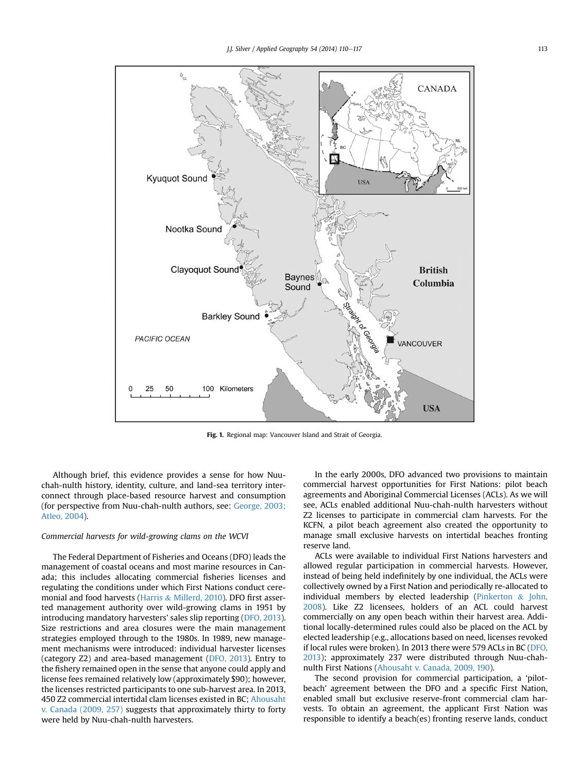<span id="page-3-0"></span>

Fig. 1. Regional map: Vancouver Island and Strait of Georgia.

Although brief, this evidence provides a sense for how Nuuchah-nulth history, identity, culture, and land-sea territory interconnect through place-based resource harvest and consumption (for perspective from Nuu-chah-nulth authors, see: [George, 2003;](#page-7-0) [Atleo, 2004\)](#page-7-0).

# Commercial harvests for wild-growing clams on the WCVI

The Federal Department of Fisheries and Oceans (DFO) leads the management of coastal oceans and most marine resources in Canada; this includes allocating commercial fisheries licenses and regulating the conditions under which First Nations conduct ceremonial and food harvests [\(Harris](#page-7-0) & [Millerd, 2010](#page-7-0)). DFO first asserted management authority over wild-growing clams in 1951 by introducing mandatory harvesters' sales slip reporting ([DFO, 2013\)](#page-7-0). Size restrictions and area closures were the main management strategies employed through to the 1980s. In 1989, new management mechanisms were introduced: individual harvester licenses (category Z2) and area-based management ([DFO, 2013\)](#page-7-0). Entry to the fishery remained open in the sense that anyone could apply and license fees remained relatively low (approximately \$90); however, the licenses restricted participants to one sub-harvest area. In 2013, 450 Z2 commercial intertidal clam licenses existed in BC; [Ahousaht](#page-6-0) [v. Canada \(2009, 257\)](#page-6-0) suggests that approximately thirty to forty were held by Nuu-chah-nulth harvesters.

In the early 2000s, DFO advanced two provisions to maintain commercial harvest opportunities for First Nations: pilot beach agreements and Aboriginal Commercial Licenses (ACLs). As we will see, ACLs enabled additional Nuu-chah-nulth harvesters without Z2 licenses to participate in commercial clam harvests. For the KCFN, a pilot beach agreement also created the opportunity to manage small exclusive harvests on intertidal beaches fronting reserve land.

ACLs were available to individual First Nations harvesters and allowed regular participation in commercial harvests. However, instead of being held indefinitely by one individual, the ACLs were collectively owned by a First Nation and periodically re-allocated to individual members by elected leadership ([Pinkerton](#page-7-0) & [John,](#page-7-0) [2008\)](#page-7-0). Like Z2 licensees, holders of an ACL could harvest commercially on any open beach within their harvest area. Additional locally-determined rules could also be placed on the ACL by elected leadership (e.g., allocations based on need, licenses revoked if local rules were broken). In 2013 there were 579 ACLs in BC ([DFO,](#page-7-0) [2013\)](#page-7-0); approximately 237 were distributed through Nuu-chahnulth First Nations ([Ahousaht v. Canada, 2009, 190](#page-6-0)).

The second provision for commercial participation, a 'pilotbeach' agreement between the DFO and a specific First Nation, enabled small but exclusive reserve-front commercial clam harvests. To obtain an agreement, the applicant First Nation was responsible to identify a beach(es) fronting reserve lands, conduct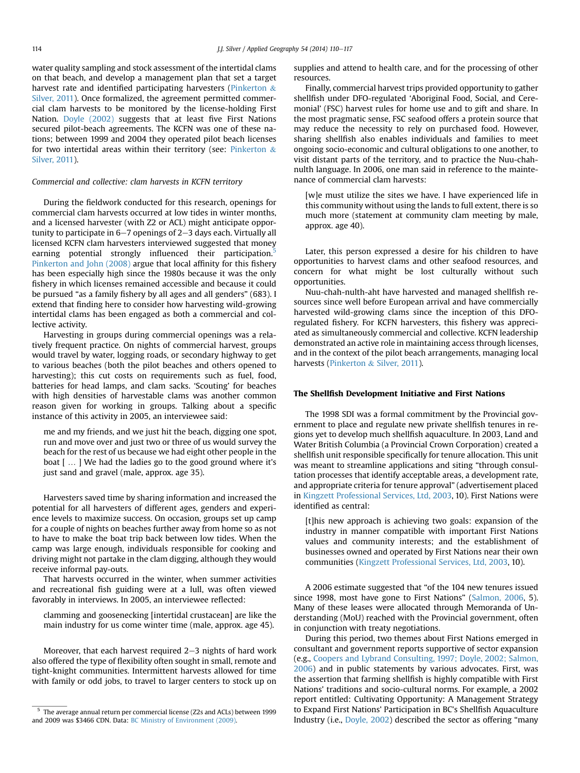water quality sampling and stock assessment of the intertidal clams on that beach, and develop a management plan that set a target harvest rate and identified participating harvesters [\(Pinkerton](#page-7-0) & [Silver, 2011](#page-7-0)). Once formalized, the agreement permitted commercial clam harvests to be monitored by the license-holding First Nation. [Doyle \(2002\)](#page-7-0) suggests that at least five First Nations secured pilot-beach agreements. The KCFN was one of these nations; between 1999 and 2004 they operated pilot beach licenses for two intertidal areas within their territory (see: [Pinkerton](#page-7-0)  $\&$ [Silver, 2011\)](#page-7-0).

#### Commercial and collective: clam harvests in KCFN territory

During the fieldwork conducted for this research, openings for commercial clam harvests occurred at low tides in winter months, and a licensed harvester (with Z2 or ACL) might anticipate opportunity to participate in  $6-7$  openings of  $2-3$  days each. Virtually all licensed KCFN clam harvesters interviewed suggested that money earning potential strongly influenced their participation.<sup>5</sup> [Pinkerton and John \(2008\)](#page-7-0) argue that local affinity for this fishery has been especially high since the 1980s because it was the only fishery in which licenses remained accessible and because it could be pursued "as a family fishery by all ages and all genders" (683). I extend that finding here to consider how harvesting wild-growing intertidal clams has been engaged as both a commercial and collective activity.

Harvesting in groups during commercial openings was a relatively frequent practice. On nights of commercial harvest, groups would travel by water, logging roads, or secondary highway to get to various beaches (both the pilot beaches and others opened to harvesting); this cut costs on requirements such as fuel, food, batteries for head lamps, and clam sacks. 'Scouting' for beaches with high densities of harvestable clams was another common reason given for working in groups. Talking about a specific instance of this activity in 2005, an interviewee said:

me and my friends, and we just hit the beach, digging one spot, run and move over and just two or three of us would survey the beach for the rest of us because we had eight other people in the boat [ … ] We had the ladies go to the good ground where it's just sand and gravel (male, approx. age 35).

Harvesters saved time by sharing information and increased the potential for all harvesters of different ages, genders and experience levels to maximize success. On occasion, groups set up camp for a couple of nights on beaches further away from home so as not to have to make the boat trip back between low tides. When the camp was large enough, individuals responsible for cooking and driving might not partake in the clam digging, although they would receive informal pay-outs.

That harvests occurred in the winter, when summer activities and recreational fish guiding were at a lull, was often viewed favorably in interviews. In 2005, an interviewee reflected:

clamming and goosenecking [intertidal crustacean] are like the main industry for us come winter time (male, approx. age 45).

Moreover, that each harvest required  $2-3$  nights of hard work also offered the type of flexibility often sought in small, remote and tight-knight communities. Intermittent harvests allowed for time with family or odd jobs, to travel to larger centers to stock up on supplies and attend to health care, and for the processing of other resources.

Finally, commercial harvest trips provided opportunity to gather shellfish under DFO-regulated 'Aboriginal Food, Social, and Ceremonial' (FSC) harvest rules for home use and to gift and share. In the most pragmatic sense, FSC seafood offers a protein source that may reduce the necessity to rely on purchased food. However, sharing shellfish also enables individuals and families to meet ongoing socio-economic and cultural obligations to one another, to visit distant parts of the territory, and to practice the Nuu-chahnulth language. In 2006, one man said in reference to the maintenance of commercial clam harvests:

[w]e must utilize the sites we have. I have experienced life in this community without using the lands to full extent, there is so much more (statement at community clam meeting by male, approx. age 40).

Later, this person expressed a desire for his children to have opportunities to harvest clams and other seafood resources, and concern for what might be lost culturally without such opportunities.

Nuu-chah-nulth-aht have harvested and managed shellfish resources since well before European arrival and have commercially harvested wild-growing clams since the inception of this DFOregulated fishery. For KCFN harvesters, this fishery was appreciated as simultaneously commercial and collective. KCFN leadership demonstrated an active role in maintaining access through licenses, and in the context of the pilot beach arrangements, managing local harvests ([Pinkerton](#page-7-0) & [Silver, 2011](#page-7-0)).

## The Shellfish Development Initiative and First Nations

The 1998 SDI was a formal commitment by the Provincial government to place and regulate new private shellfish tenures in regions yet to develop much shellfish aquaculture. In 2003, Land and Water British Columbia (a Provincial Crown Corporation) created a shellfish unit responsible specifically for tenure allocation. This unit was meant to streamline applications and siting "through consultation processes that identify acceptable areas, a development rate, and appropriate criteria for tenure approval" (advertisement placed in [Kingzett Professional Services, Ltd, 2003,](#page-7-0) 10). First Nations were identified as central:

[t]his new approach is achieving two goals: expansion of the industry in manner compatible with important First Nations values and community interests; and the establishment of businesses owned and operated by First Nations near their own communities ([Kingzett Professional Services, Ltd, 2003](#page-7-0), 10).

A 2006 estimate suggested that "of the 104 new tenures issued since 1998, most have gone to First Nations" ([Salmon, 2006,](#page-7-0) 5). Many of these leases were allocated through Memoranda of Understanding (MoU) reached with the Provincial government, often in conjunction with treaty negotiations.

During this period, two themes about First Nations emerged in consultant and government reports supportive of sector expansion (e.g., [Coopers and Lybrand Consulting, 1997; Doyle, 2002; Salmon,](#page-6-0) [2006](#page-6-0)) and in public statements by various advocates. First, was the assertion that farming shellfish is highly compatible with First Nations' traditions and socio-cultural norms. For example, a 2002 report entitled: Cultivating Opportunity: A Management Strategy to Expand First Nations' Participation in BC's Shellfish Aquaculture Industry (i.e., [Doyle, 2002\)](#page-7-0) described the sector as offering "many

<sup>5</sup> The average annual return per commercial license (Z2s and ACLs) between 1999 and 2009 was \$3466 CDN. Data: [BC Ministry of Environment \(2009\)](#page-6-0).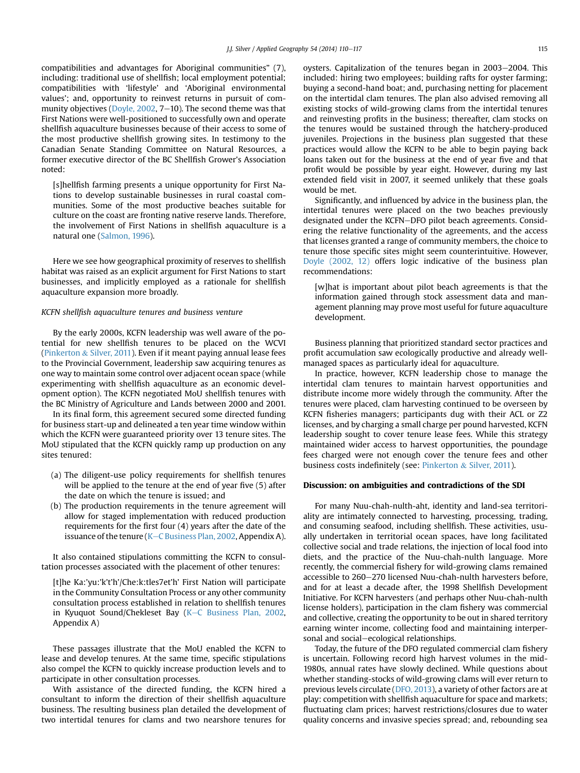compatibilities and advantages for Aboriginal communities" (7), including: traditional use of shellfish; local employment potential; compatibilities with 'lifestyle' and 'Aboriginal environmental values'; and, opportunity to reinvest returns in pursuit of com-munity objectives ([Doyle, 2002,](#page-7-0)  $7-10$ ). The second theme was that First Nations were well-positioned to successfully own and operate shellfish aquaculture businesses because of their access to some of the most productive shellfish growing sites. In testimony to the Canadian Senate Standing Committee on Natural Resources, a former executive director of the BC Shellfish Grower's Association noted:

[s]hellfish farming presents a unique opportunity for First Nations to develop sustainable businesses in rural coastal communities. Some of the most productive beaches suitable for culture on the coast are fronting native reserve lands. Therefore, the involvement of First Nations in shellfish aquaculture is a natural one ([Salmon, 1996\)](#page-7-0).

Here we see how geographical proximity of reserves to shellfish habitat was raised as an explicit argument for First Nations to start businesses, and implicitly employed as a rationale for shellfish aquaculture expansion more broadly.

#### KCFN shellfish aquaculture tenures and business venture

By the early 2000s, KCFN leadership was well aware of the potential for new shellfish tenures to be placed on the WCVI ([Pinkerton](#page-7-0) & [Silver, 2011](#page-7-0)). Even if it meant paying annual lease fees to the Provincial Government, leadership saw acquiring tenures as one way to maintain some control over adjacent ocean space (while experimenting with shellfish aquaculture as an economic development option). The KCFN negotiated MoU shellfish tenures with the BC Ministry of Agriculture and Lands between 2000 and 2001.

In its final form, this agreement secured some directed funding for business start-up and delineated a ten year time window within which the KCFN were guaranteed priority over 13 tenure sites. The MoU stipulated that the KCFN quickly ramp up production on any sites tenured:

- (a) The diligent-use policy requirements for shellfish tenures will be applied to the tenure at the end of year five (5) after the date on which the tenure is issued; and
- (b) The production requirements in the tenure agreement will allow for staged implementation with reduced production requirements for the first four (4) years after the date of the issuance of the tenure ( $K-C$  $K-C$  Business Plan, 2002, Appendix A).

It also contained stipulations committing the KCFN to consultation processes associated with the placement of other tenures:

[t]he Ka:'yu:'k't'h'/Che:k:tles7et'h' First Nation will participate in the Community Consultation Process or any other community consultation process established in relation to shellfish tenures in [K](#page-7-0)yuquot Sound/Chekleset Bay (K-[C Business Plan, 2002,](#page-7-0) Appendix A)

These passages illustrate that the MoU enabled the KCFN to lease and develop tenures. At the same time, specific stipulations also compel the KCFN to quickly increase production levels and to participate in other consultation processes.

With assistance of the directed funding, the KCFN hired a consultant to inform the direction of their shellfish aquaculture business. The resulting business plan detailed the development of two intertidal tenures for clams and two nearshore tenures for

oysters. Capitalization of the tenures began in 2003–2004. This included: hiring two employees; building rafts for oyster farming; buying a second-hand boat; and, purchasing netting for placement on the intertidal clam tenures. The plan also advised removing all existing stocks of wild-growing clams from the intertidal tenures and reinvesting profits in the business; thereafter, clam stocks on the tenures would be sustained through the hatchery-produced juveniles. Projections in the business plan suggested that these practices would allow the KCFN to be able to begin paying back loans taken out for the business at the end of year five and that profit would be possible by year eight. However, during my last extended field visit in 2007, it seemed unlikely that these goals would be met.

Significantly, and influenced by advice in the business plan, the intertidal tenures were placed on the two beaches previously designated under the KCFN-DFO pilot beach agreements. Considering the relative functionality of the agreements, and the access that licenses granted a range of community members, the choice to tenure those specific sites might seem counterintuitive. However, [Doyle \(2002, 12\)](#page-7-0) offers logic indicative of the business plan recommendations:

[w]hat is important about pilot beach agreements is that the information gained through stock assessment data and management planning may prove most useful for future aquaculture development.

Business planning that prioritized standard sector practices and profit accumulation saw ecologically productive and already wellmanaged spaces as particularly ideal for aquaculture.

In practice, however, KCFN leadership chose to manage the intertidal clam tenures to maintain harvest opportunities and distribute income more widely through the community. After the tenures were placed, clam harvesting continued to be overseen by KCFN fisheries managers; participants dug with their ACL or Z2 licenses, and by charging a small charge per pound harvested, KCFN leadership sought to cover tenure lease fees. While this strategy maintained wider access to harvest opportunities, the poundage fees charged were not enough cover the tenure fees and other business costs indefinitely (see: [Pinkerton](#page-7-0) & [Silver, 2011\)](#page-7-0).

#### Discussion: on ambiguities and contradictions of the SDI

For many Nuu-chah-nulth-aht, identity and land-sea territoriality are intimately connected to harvesting, processing, trading, and consuming seafood, including shellfish. These activities, usually undertaken in territorial ocean spaces, have long facilitated collective social and trade relations, the injection of local food into diets, and the practice of the Nuu-chah-nulth language. More recently, the commercial fishery for wild-growing clams remained accessible to 260-270 licensed Nuu-chah-nulth harvesters before, and for at least a decade after, the 1998 Shellfish Development Initiative. For KCFN harvesters (and perhaps other Nuu-chah-nulth license holders), participation in the clam fishery was commercial and collective, creating the opportunity to be out in shared territory earning winter income, collecting food and maintaining interpersonal and social-ecological relationships.

Today, the future of the DFO regulated commercial clam fishery is uncertain. Following record high harvest volumes in the mid-1980s, annual rates have slowly declined. While questions about whether standing-stocks of wild-growing clams will ever return to previous levels circulate ([DFO, 2013\)](#page-7-0), a variety of other factors are at play: competition with shellfish aquaculture for space and markets; fluctuating clam prices; harvest restrictions/closures due to water quality concerns and invasive species spread; and, rebounding sea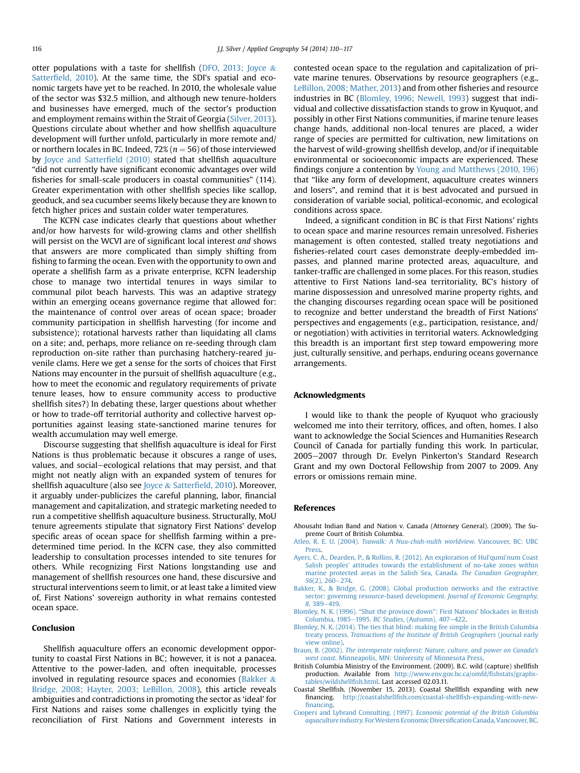<span id="page-6-0"></span>otter populations with a taste for shellfish ([DFO, 2013; Joyce](#page-7-0) & Satterfi[eld, 2010\)](#page-7-0). At the same time, the SDI's spatial and economic targets have yet to be reached. In 2010, the wholesale value of the sector was \$32.5 million, and although new tenure-holders and businesses have emerged, much of the sector's production and employment remains within the Strait of Georgia [\(Silver, 2013\)](#page-7-0). Questions circulate about whether and how shellfish aquaculture development will further unfold, particularly in more remote and/ or northern locales in BC. Indeed,  $72\%$  ( $n = 56$ ) of those interviewed by [Joyce and Satter](#page-7-0)field (2010) stated that shellfish aquaculture "did not currently have significant economic advantages over wild fisheries for small-scale producers in coastal communities" (114). Greater experimentation with other shellfish species like scallop, geoduck, and sea cucumber seems likely because they are known to fetch higher prices and sustain colder water temperatures.

The KCFN case indicates clearly that questions about whether and/or how harvests for wild-growing clams and other shellfish will persist on the WCVI are of significant local interest and shows that answers are more complicated than simply shifting from fishing to farming the ocean. Even with the opportunity to own and operate a shellfish farm as a private enterprise, KCFN leadership chose to manage two intertidal tenures in ways similar to communal pilot beach harvests. This was an adaptive strategy within an emerging oceans governance regime that allowed for: the maintenance of control over areas of ocean space; broader community participation in shellfish harvesting (for income and subsistence); rotational harvests rather than liquidating all clams on a site; and, perhaps, more reliance on re-seeding through clam reproduction on-site rather than purchasing hatchery-reared juvenile clams. Here we get a sense for the sorts of choices that First Nations may encounter in the pursuit of shellfish aquaculture (e.g., how to meet the economic and regulatory requirements of private tenure leases, how to ensure community access to productive shellfish sites?) In debating these, larger questions about whether or how to trade-off territorial authority and collective harvest opportunities against leasing state-sanctioned marine tenures for wealth accumulation may well emerge.

Discourse suggesting that shellfish aquaculture is ideal for First Nations is thus problematic because it obscures a range of uses, values, and social–ecological relations that may persist, and that might not neatly align with an expanded system of tenures for shellfish aquaculture (also see [Joyce](#page-7-0) & Satterfi[eld, 2010\)](#page-7-0). Moreover, it arguably under-publicizes the careful planning, labor, financial management and capitalization, and strategic marketing needed to run a competitive shellfish aquaculture business. Structurally, MoU tenure agreements stipulate that signatory First Nations' develop specific areas of ocean space for shellfish farming within a predetermined time period. In the KCFN case, they also committed leadership to consultation processes intended to site tenures for others. While recognizing First Nations longstanding use and management of shellfish resources one hand, these discursive and structural interventions seem to limit, or at least take a limited view of, First Nations' sovereign authority in what remains contested ocean space.

#### Conclusion

Shellfish aquaculture offers an economic development opportunity to coastal First Nations in BC; however, it is not a panacea. Attentive to the power-laden, and often inequitable, processes involved in regulating resource spaces and economies (Bakker  $\&$ Bridge, 2008; Hayter, 2003; LeBillon, 2008), this article reveals ambiguities and contradictions in promoting the sector as 'ideal' for First Nations and raises some challenges in explicitly tying the reconciliation of First Nations and Government interests in contested ocean space to the regulation and capitalization of private marine tenures. Observations by resource geographers (e.g., [LeBillon, 2008; Mather, 2013\)](#page-7-0) and from other fisheries and resource industries in BC (Blomley, 1996; Newell, 1993) suggest that individual and collective dissatisfaction stands to grow in Kyuquot, and possibly in other First Nations communities, if marine tenure leases change hands, additional non-local tenures are placed, a wider range of species are permitted for cultivation, new limitations on the harvest of wild-growing shellfish develop, and/or if inequitable environmental or socioeconomic impacts are experienced. These findings conjure a contention by [Young and Matthews \(2010, 196\)](#page-7-0) that "like any form of development, aquaculture creates winners and losers", and remind that it is best advocated and pursued in consideration of variable social, political-economic, and ecological conditions across space.

Indeed, a significant condition in BC is that First Nations' rights to ocean space and marine resources remain unresolved. Fisheries management is often contested, stalled treaty negotiations and fisheries-related court cases demonstrate deeply-embedded impasses, and planned marine protected areas, aquaculture, and tanker-traffic are challenged in some places. For this reason, studies attentive to First Nations land-sea territoriality, BC's history of marine dispossession and unresolved marine property rights, and the changing discourses regarding ocean space will be positioned to recognize and better understand the breadth of First Nations' perspectives and engagements (e.g., participation, resistance, and/ or negotiation) with activities in territorial waters. Acknowledging this breadth is an important first step toward empowering more just, culturally sensitive, and perhaps, enduring oceans governance arrangements.

## Acknowledgments

I would like to thank the people of Kyuquot who graciously welcomed me into their territory, offices, and often, homes. I also want to acknowledge the Social Sciences and Humanities Research Council of Canada for partially funding this work. In particular, 2005-2007 through Dr. Evelyn Pinkerton's Standard Research Grant and my own Doctoral Fellowship from 2007 to 2009. Any errors or omissions remain mine.

#### References

- Ahousaht Indian Band and Nation v. Canada (Attorney General). (2009). The Supreme Court of British Columbia.
- Atleo, R. E. U. (2004). [Tsawalk: A Nuu-chah-nulth worldview](http://refhub.elsevier.com/S0143-6228(14)00169-6/sref1). Vancouver, BC: UBC [Press](http://refhub.elsevier.com/S0143-6228(14)00169-6/sref1).
- [Ayers, C. A., Dearden, P., & Rollins, R. \(2012\). An exploration of Hul'qumi'num Coast](http://refhub.elsevier.com/S0143-6228(14)00169-6/sref2) [Salish peoples' attitudes towards the establishment of no-take zones within](http://refhub.elsevier.com/S0143-6228(14)00169-6/sref2) [marine protected areas in the Salish Sea, Canada.](http://refhub.elsevier.com/S0143-6228(14)00169-6/sref2) The Canadian Geographer,  $56(2)$ ,  $260-274$ .
- [Bakker, K., & Bridge, G. \(2008\). Global production networks and the extractive](http://refhub.elsevier.com/S0143-6228(14)00169-6/sref3) [sector: governing resource-based development.](http://refhub.elsevier.com/S0143-6228(14)00169-6/sref3) Journal of Economic Geography, 8[, 389](http://refhub.elsevier.com/S0143-6228(14)00169-6/sref3)-[419](http://refhub.elsevier.com/S0143-6228(14)00169-6/sref3).
- Blomley, N. K. (1996). "Shut the province down"[: First Nations' blockades in British](http://refhub.elsevier.com/S0143-6228(14)00169-6/sref4) [Columbia, 1985](http://refhub.elsevier.com/S0143-6228(14)00169-6/sref4)-1995. BC Studies[, \(Autumn\), 407](http://refhub.elsevier.com/S0143-6228(14)00169-6/sref4)-[422](http://refhub.elsevier.com/S0143-6228(14)00169-6/sref4).
- [Blomley, N. K. \(2014\). The ties that blind: making fee simple in the British Columbia](http://refhub.elsevier.com/S0143-6228(14)00169-6/sref5) treaty process. [Transactions of the Institute of British Geographers](http://refhub.elsevier.com/S0143-6228(14)00169-6/sref5) (journal early [view online\).](http://refhub.elsevier.com/S0143-6228(14)00169-6/sref5)
- Braun, B. (2002). [The intemperate rainforest: Nature, culture, and power on Canada's](http://refhub.elsevier.com/S0143-6228(14)00169-6/sref6) west coast[. Minneapolis, MN: University of Minnesota Press.](http://refhub.elsevier.com/S0143-6228(14)00169-6/sref6)
- British Columbia Ministry of the Environment. (2009). B.C. wild (capture) shellfish production. Available from [http://www.env.gov.bc.ca/omfd/](mailto:http://www.env.gov.bc.ca/omfd/fishstats/graphs-tables/wildshellfish.html)fishstats/graphs[tables/wildshell](mailto:http://www.env.gov.bc.ca/omfd/fishstats/graphs-tables/wildshellfish.html)fish.html. Last accessed 02.03.11.
- Coastal Shellfish. (November 15, 2013). Coastal Shellfish expanding with new http://coastalshellfish.com/coastal-shellfi[sh-expanding-with-new](http://coastalshellfish.com/coastal-shellfish-expanding-with-new-financing)fi[nancing.](http://coastalshellfish.com/coastal-shellfish-expanding-with-new-financing)
- Coopers and Lybrand Consulting. (1997). [Economic potential of the British Columbia](http://refhub.elsevier.com/S0143-6228(14)00169-6/sref9) aquaculture industry. For Western Economic Diversification Canada, Vancouver, BC.